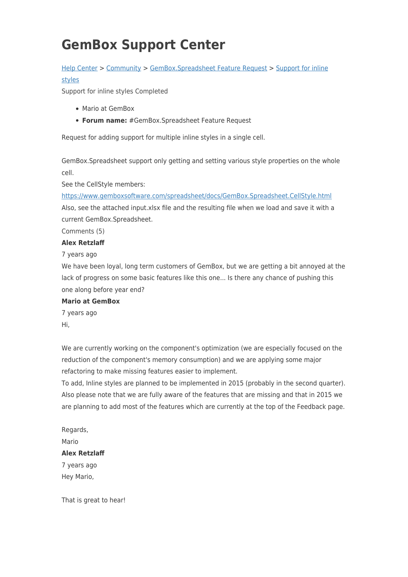# **GemBox Support Center**

# [Help Center](https://support.gemboxsoftware.com/) > [Community](https://support.gemboxsoftware.com/community) > [GemBox.Spreadsheet Feature Request](https://support.gemboxsoftware.com/community/browse/type-1/view-list/viewmode-compact) > [Support for inline](https://support.gemboxsoftware.com/community/view/support-for-inline-styles)

## [styles](https://support.gemboxsoftware.com/community/view/support-for-inline-styles)

Support for inline styles Completed

- Mario at GemBox
- **Forum name:** #GemBox.Spreadsheet Feature Request

Request for adding support for multiple inline styles in a single cell.

GemBox.Spreadsheet support only getting and setting various style properties on the whole cell.

See the CellStyle members:

<https://www.gemboxsoftware.com/spreadsheet/docs/GemBox.Spreadsheet.CellStyle.html>

Also, see the attached input.xlsx file and the resulting file when we load and save it with a current GemBox.Spreadsheet.

Comments (5)

### **Alex Retzlaff**

7 years ago

We have been loyal, long term customers of GemBox, but we are getting a bit annoyed at the lack of progress on some basic features like this one... Is there any chance of pushing this one along before year end?

### **Mario at GemBox**

7 years ago Hi,

We are currently working on the component's optimization (we are especially focused on the reduction of the component's memory consumption) and we are applying some major refactoring to make missing features easier to implement.

To add, Inline styles are planned to be implemented in 2015 (probably in the second quarter). Also please note that we are fully aware of the features that are missing and that in 2015 we are planning to add most of the features which are currently at the top of the Feedback page.

Regards, Mario **Alex Retzlaff** 7 years ago Hey Mario,

That is great to hear!